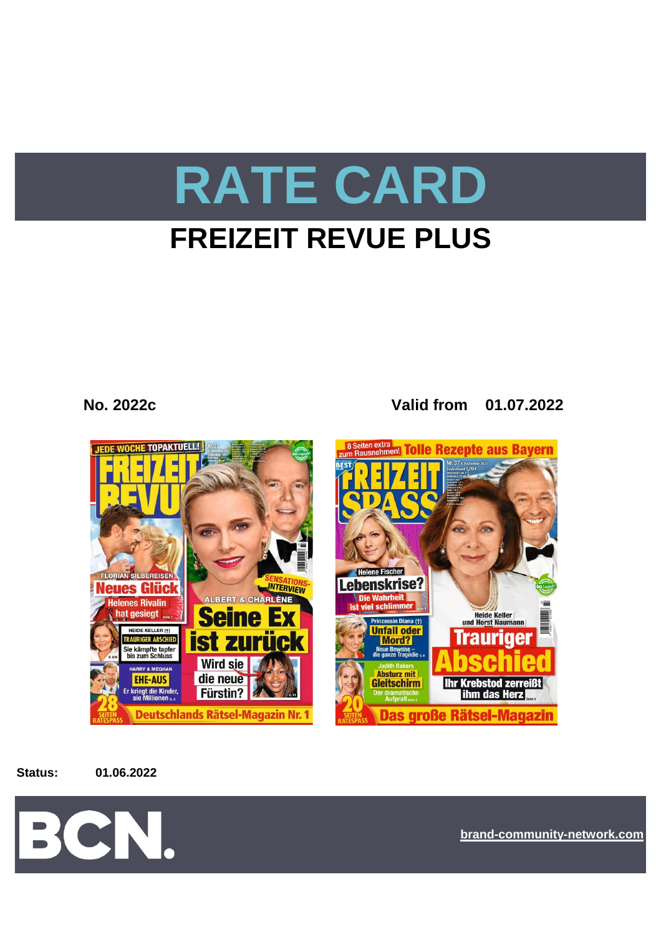# **RATE CARD**

# **FREIZEIT REVUE PLUS**

**No. 2022c Valid from 01.07.2022**



**Status: 01.06.2022**



**[bra](https://bcn.burda.com/)nd-community-network.com**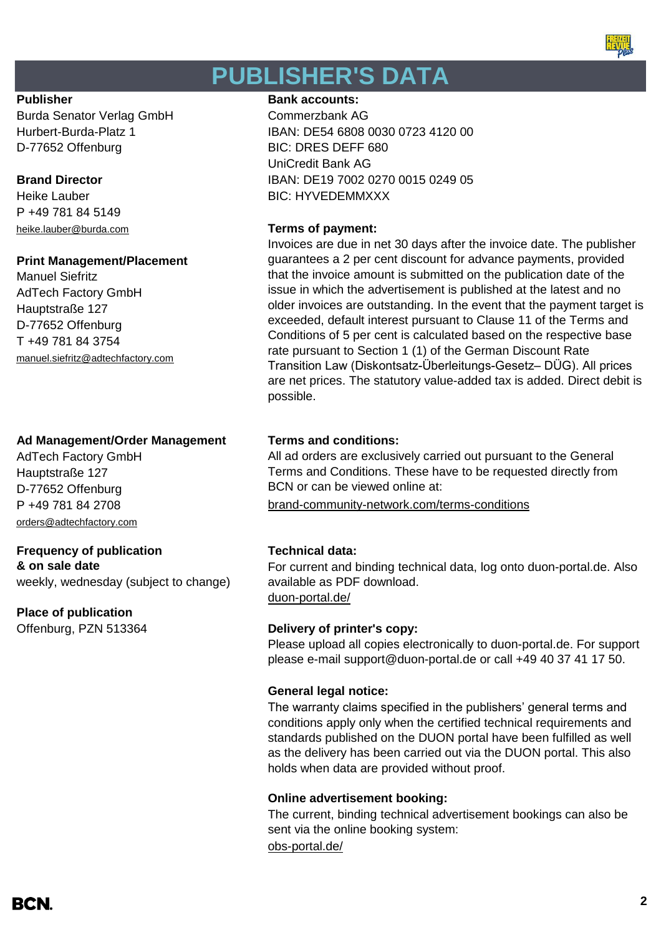

# **PUBLISHER'S DATA**

Burda Senator Verlag GmbH Commerzbank AG D-77652 Offenburg BIC: DRES DEFF 680

P +49 781 84 5149 [heike.lauber@burda.com](mailto:heike.lauber@burda.com) **Terms of payment:**

#### **Print Management/Placement**

Manuel Siefritz AdTech Factory GmbH Hauptstraße 127 D-77652 Offenburg T +49 781 84 3754 [manuel.siefritz@adtechfactory.com](mailto:manuel.siefritz@adtechfactory.com)

### **Ad Management/Order Management Terms and conditions:**

AdTech Factory GmbH Hauptstraße 127 D-77652 Offenburg [orders@adtechfactory.com](mailto:orders@adtechfactory.com)

### **Frequency of publication Technical data:**

**& on sale date** weekly, wednesday (subject to change)

### **Place of publication**

#### **Publisher Bank accounts: Bank accounts:**

Hurbert-Burda-Platz 1 IBAN: DE54 6808 0030 0723 4120 00 UniCredit Bank AG **Brand Director IBAN: DE19 7002 0270 0015 0249 05** Heike Lauber **BIC: HYVEDEMMXXX** 

Invoices are due in net 30 days after the invoice date. The publisher guarantees a 2 per cent discount for advance payments, provided that the invoice amount is submitted on the publication date of the issue in which the advertisement is published at the latest and no older invoices are outstanding. In the event that the payment target is exceeded, default interest pursuant to Clause 11 of the Terms and Conditions of 5 per cent is calculated based on the respective base rate pursuant to Section 1 (1) of the German Discount Rate Transition Law (Diskontsatz-Überleitungs-Gesetz– DÜG). All prices are net prices. The statutory value-added tax is added. Direct debit is possible.

All ad orders are exclusively carried out pursuant to the General Terms and Conditions. These have to be requested directly from BCN or can be viewed online at:

P +49 781 84 2708 [brand-community-network.com/terms-conditions](https://bcn.burda.com/terms-conditions)

[duon-portal.de/](https://duon-portal.de/) For current and binding technical data, log onto duon-portal.de. Also available as PDF download.

### Offenburg, PZN 513364 **Delivery of printer's copy:**

Please upload all copies electronically to duon-portal.de. For support please e-mail support@duon-portal.de or call +49 40 37 41 17 50.

### **General legal notice:**

The warranty claims specified in the publishers' general terms and conditions apply only when the certified technical requirements and standards published on the DUON portal have been fulfilled as well as the delivery has been carried out via the DUON portal. This also holds when data are provided without proof.

#### **Online advertisement booking:**

[obs-portal.de/](https://www.obs-portal.de/) The current, binding technical advertisement bookings can also be sent via the online booking system: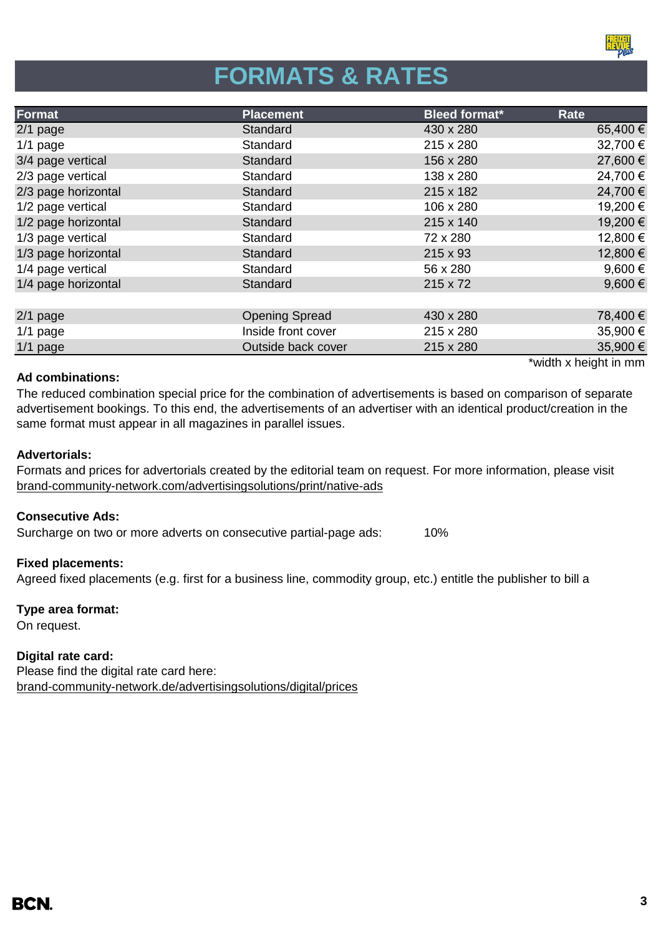

# **FORMATS & RATES**

| Format              | <b>Placement</b>      | <b>Bleed format*</b> | Rate                  |
|---------------------|-----------------------|----------------------|-----------------------|
| $2/1$ page          | Standard              | 430 x 280            | 65,400 €              |
| $1/1$ page          | Standard              | 215 x 280            | 32,700 €              |
| 3/4 page vertical   | Standard              | 156 x 280            | 27,600 €              |
| 2/3 page vertical   | Standard              | 138 x 280            | 24,700 €              |
| 2/3 page horizontal | Standard              | 215 x 182            | 24,700 €              |
| 1/2 page vertical   | Standard              | 106 x 280            | 19,200 €              |
| 1/2 page horizontal | Standard              | 215 x 140            | 19,200 €              |
| 1/3 page vertical   | Standard              | 72 x 280             | 12,800 €              |
| 1/3 page horizontal | Standard              | 215 x 93             | 12,800 €              |
| 1/4 page vertical   | Standard              | 56 x 280             | 9,600€                |
| 1/4 page horizontal | Standard              | 215 x 72             | 9,600 $\epsilon$      |
|                     |                       |                      |                       |
| $2/1$ page          | <b>Opening Spread</b> | 430 x 280            | 78,400 €              |
| $1/1$ page          | Inside front cover    | 215 x 280            | 35,900 €              |
| 1/1 page            | Outside back cover    | 215 x 280            | 35,900 €              |
|                     |                       |                      | *width x height in mm |

### **Ad combinations:**

The reduced combination special price for the combination of advertisements is based on comparison of separate advertisement bookings. To this end, the advertisements of an advertiser with an identical product/creation in the same format must appear in all magazines in parallel issues.

#### **Advertorials:**

[brand-community-network.com/advertisin](https://bcn.burda.com/advertisingsolutions/print/native-ads)gsolutions/print/native-ads Formats and prices for advertorials created by the editorial team on request. For more information, please visit

#### **Consecutive Ads:**

Surcharge on two or more adverts on consecutive partial-page ads: 10%

#### **Fixed placements:**

Agreed fixed placements (e.g. first for a business line, commodity group, etc.) entitle the publisher to bill a

### **Type area format:**

On request.

### **Digital rate card:**

Please find the digital rate card here: [brand-community-network.de/advertisingsolutions/digital/prices](https://bcn.burda.com/advertisingsolutions/digital/prices)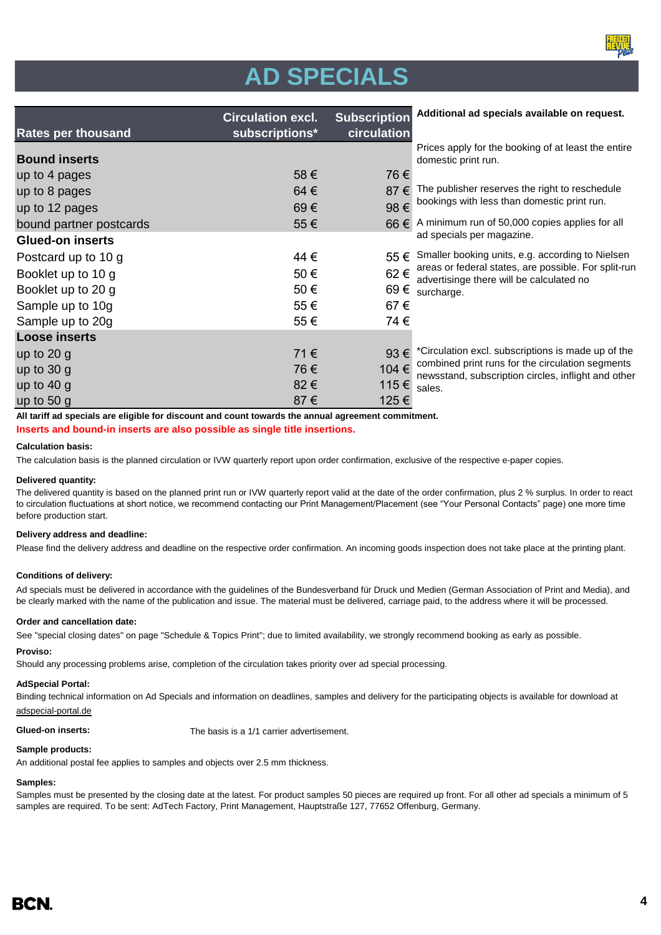

| <b>Rates per thousand</b> | <b>Circulation excl.</b><br>subscriptions* | <b>Subscription</b><br>circulation | Additional ad specials available on request.                                                            |
|---------------------------|--------------------------------------------|------------------------------------|---------------------------------------------------------------------------------------------------------|
| <b>Bound inserts</b>      |                                            |                                    | Prices apply for the booking of at least the entire<br>domestic print run.                              |
| up to 4 pages             | 58€                                        | 76€                                |                                                                                                         |
| up to 8 pages             | 64€                                        | 87 €                               | The publisher reserves the right to reschedule                                                          |
| up to 12 pages            | 69€                                        | 98€                                | bookings with less than domestic print run.                                                             |
| bound partner postcards   | 55€                                        |                                    | 66 € A minimum run of 50,000 copies applies for all                                                     |
| <b>Glued-on inserts</b>   |                                            |                                    | ad specials per magazine.                                                                               |
| Postcard up to 10 g       | 44 €                                       | 55 €                               | Smaller booking units, e.g. according to Nielsen                                                        |
| Booklet up to 10 g        | 50€                                        | 62€                                | areas or federal states, are possible. For split-run<br>advertisinge there will be calculated no        |
| Booklet up to 20 g        | 50€                                        |                                    | 69 $\epsilon$ surcharge.                                                                                |
| Sample up to 10g          | 55€                                        | 67€                                |                                                                                                         |
| Sample up to 20g          | 55€                                        | 74€                                |                                                                                                         |
| <b>Loose inserts</b>      |                                            |                                    |                                                                                                         |
| up to $20 g$              | 71€                                        | $93 \in$                           | *Circulation excl. subscriptions is made up of the                                                      |
| up to $30 g$              | 76€                                        | 104 €                              | combined print runs for the circulation segments<br>newsstand, subscription circles, inflight and other |
| up to $40 g$              | 82€                                        | 115€                               | sales.                                                                                                  |
| up to $50 g$              | 87€                                        | 125€                               |                                                                                                         |

**All tariff ad specials are eligible for discount and count towards the annual agreement commitment.**

**Inserts and bound-in inserts are also possible as single title insertions.**

#### **Calculation basis:**

The calculation basis is the planned circulation or IVW quarterly report upon order confirmation, exclusive of the respective e-paper copies.

#### **Delivered quantity:**

The delivered quantity is based on the planned print run or IVW quarterly report valid at the date of the order confirmation, plus 2 % surplus. In order to react to circulation fluctuations at short notice, we recommend contacting our Print Management/Placement (see "Your Personal Contacts" page) one more time before production start.

#### **Delivery address and deadline:**

Please find the delivery address and deadline on the respective order confirmation. An incoming goods inspection does not take place at the printing plant.

#### **Conditions of delivery:**

Ad specials must be delivered in accordance with the guidelines of the Bundesverband für Druck und Medien (German Association of Print and Media), and be clearly marked with the name of the publication and issue. The material must be delivered, carriage paid, to the address where it will be processed.

#### **Order and cancellation date:**

See "special closing dates" on page "Schedule & Topics Print"; due to limited availability, we strongly recommend booking as early as possible.

#### **Proviso:**

Should any processing problems arise, completion of the circulation takes priority over ad special processing.

#### **AdSpecial Portal:**

Binding technical information on Ad Specials and information on deadlines, samples and delivery for the participating objects is available for download at adspecial-portal.de

**Glued-on inserts:** The basis is a 1/1 carrier advertisement.

#### **Sample products:**

An additional postal fee applies to samples and objects over 2.5 mm thickness.

#### **Samples:**

Samples must be presented by the closing date at the latest. For product samples 50 pieces are required up front. For all other ad specials a minimum of 5 samples are required. To be sent: AdTech Factory, Print Management, Hauptstraße 127, 77652 Offenburg, Germany.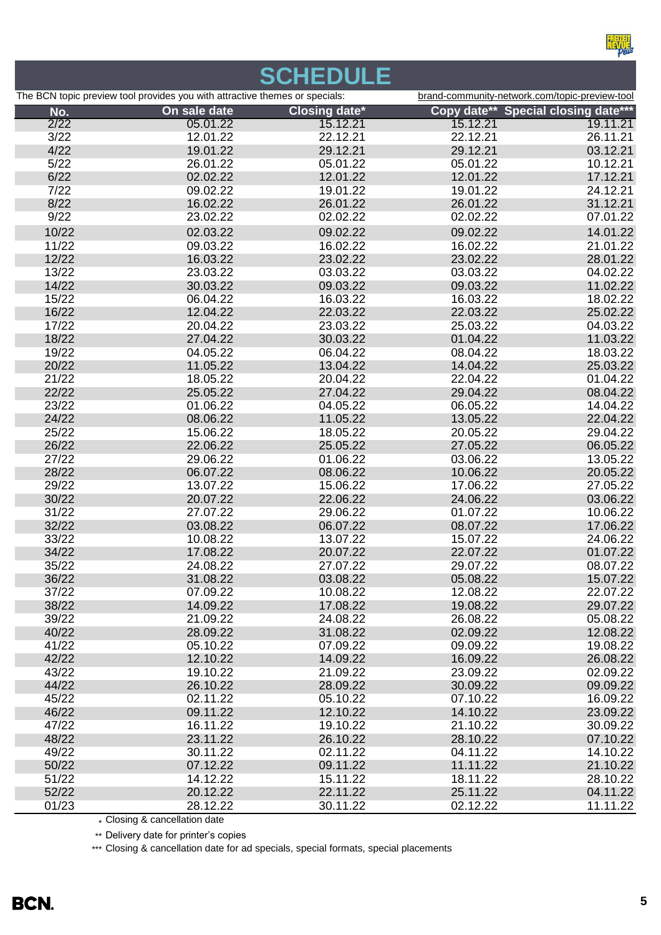

# **SCHEDULE**

|       | The BCN topic preview tool provides you with attractive themes or specials: |                      | brand-community-network.com/topic-preview-tool |                                     |  |
|-------|-----------------------------------------------------------------------------|----------------------|------------------------------------------------|-------------------------------------|--|
| No.   | On sale date                                                                | <b>Closing date*</b> |                                                | Copy date** Special closing date*** |  |
| 2/22  | 05.01.22                                                                    | 15.12.21             | 15.12.21                                       | 19.11.21                            |  |
| 3/22  | 12.01.22                                                                    | 22.12.21             | 22.12.21                                       | 26.11.21                            |  |
| 4/22  | 19.01.22                                                                    | 29.12.21             | 29.12.21                                       | 03.12.21                            |  |
| 5/22  | 26.01.22                                                                    | 05.01.22             | 05.01.22                                       | 10.12.21                            |  |
| 6/22  | 02.02.22                                                                    | 12.01.22             | 12.01.22                                       | 17.12.21                            |  |
| 7/22  | 09.02.22                                                                    | 19.01.22             | 19.01.22                                       | 24.12.21                            |  |
| 8/22  | 16.02.22                                                                    | 26.01.22             | 26.01.22                                       | 31.12.21                            |  |
| 9/22  | 23.02.22                                                                    | 02.02.22             | 02.02.22                                       | 07.01.22                            |  |
| 10/22 | 02.03.22                                                                    | 09.02.22             | 09.02.22                                       | 14.01.22                            |  |
| 11/22 | 09.03.22                                                                    | 16.02.22             | 16.02.22                                       | 21.01.22                            |  |
| 12/22 | 16.03.22                                                                    | 23.02.22             | 23.02.22                                       | 28.01.22                            |  |
| 13/22 | 23.03.22                                                                    | 03.03.22             | 03.03.22                                       | 04.02.22                            |  |
| 14/22 | 30.03.22                                                                    | 09.03.22             | 09.03.22                                       | 11.02.22                            |  |
| 15/22 | 06.04.22                                                                    | 16.03.22             | 16.03.22                                       | 18.02.22                            |  |
| 16/22 | 12.04.22                                                                    | 22.03.22             | 22.03.22                                       | 25.02.22                            |  |
| 17/22 | 20.04.22                                                                    | 23.03.22             | 25.03.22                                       | 04.03.22                            |  |
| 18/22 | 27.04.22                                                                    | 30.03.22             | 01.04.22                                       | 11.03.22                            |  |
| 19/22 | 04.05.22                                                                    | 06.04.22             | 08.04.22                                       | 18.03.22                            |  |
| 20/22 | 11.05.22                                                                    | 13.04.22             | 14.04.22                                       | 25.03.22                            |  |
| 21/22 | 18.05.22                                                                    | 20.04.22             | 22.04.22                                       | 01.04.22                            |  |
| 22/22 | 25.05.22                                                                    | 27.04.22             | 29.04.22                                       | 08.04.22                            |  |
| 23/22 | 01.06.22                                                                    | 04.05.22             | 06.05.22                                       | 14.04.22                            |  |
| 24/22 | 08.06.22                                                                    | 11.05.22             | 13.05.22                                       | 22.04.22                            |  |
| 25/22 | 15.06.22                                                                    | 18.05.22             | 20.05.22                                       | 29.04.22                            |  |
| 26/22 | 22.06.22                                                                    | 25.05.22             | 27.05.22                                       | 06.05.22                            |  |
| 27/22 | 29.06.22                                                                    | 01.06.22             | 03.06.22                                       | 13.05.22                            |  |
| 28/22 | 06.07.22                                                                    | 08.06.22             | 10.06.22                                       | 20.05.22                            |  |
| 29/22 | 13.07.22                                                                    | 15.06.22             | 17.06.22                                       | 27.05.22                            |  |
| 30/22 | 20.07.22                                                                    | 22.06.22             | 24.06.22                                       | 03.06.22                            |  |
| 31/22 | 27.07.22                                                                    | 29.06.22             | 01.07.22                                       | 10.06.22                            |  |
| 32/22 | 03.08.22                                                                    | 06.07.22             | 08.07.22                                       | 17.06.22                            |  |
| 33/22 | 10.08.22                                                                    | 13.07.22             | 15.07.22                                       | 24.06.22                            |  |
| 34/22 | 17.08.22                                                                    | 20.07.22             | 22.07.22                                       | 01.07.22                            |  |
| 35/22 | 24.08.22                                                                    | 27.07.22             | 29.07.22                                       | 08.07.22                            |  |
| 36/22 | 31.08.22                                                                    | 03.08.22             | 05.08.22                                       | 15.07.22                            |  |
| 37/22 | 07.09.22                                                                    | 10.08.22             | 12.08.22                                       | 22.07.22                            |  |
| 38/22 | 14.09.22                                                                    | 17.08.22             | 19.08.22                                       | 29.07.22                            |  |
| 39/22 | 21.09.22                                                                    | 24.08.22             | 26.08.22                                       | 05.08.22                            |  |
| 40/22 | 28.09.22                                                                    | 31.08.22             | 02.09.22                                       | 12.08.22                            |  |
| 41/22 | 05.10.22                                                                    | 07.09.22             | 09.09.22                                       | 19.08.22                            |  |
| 42/22 | 12.10.22                                                                    | 14.09.22             | 16.09.22                                       | 26.08.22                            |  |
| 43/22 | 19.10.22                                                                    | 21.09.22             | 23.09.22                                       | 02.09.22                            |  |
| 44/22 | 26.10.22                                                                    | 28.09.22             | 30.09.22                                       | 09.09.22                            |  |
| 45/22 | 02.11.22                                                                    | 05.10.22             | 07.10.22                                       | 16.09.22                            |  |
| 46/22 | 09.11.22                                                                    | 12.10.22             | 14.10.22                                       | 23.09.22                            |  |
| 47/22 | 16.11.22                                                                    | 19.10.22             | 21.10.22                                       | 30.09.22                            |  |
| 48/22 | 23.11.22                                                                    | 26.10.22             | 28.10.22                                       | 07.10.22                            |  |
| 49/22 | 30.11.22                                                                    | 02.11.22             | 04.11.22                                       | 14.10.22                            |  |
| 50/22 | 07.12.22                                                                    | 09.11.22             | 11.11.22                                       | 21.10.22                            |  |
| 51/22 | 14.12.22                                                                    | 15.11.22             | 18.11.22                                       | 28.10.22                            |  |
| 52/22 | 20.12.22                                                                    | 22.11.22             | 25.11.22                                       | 04.11.22                            |  |
| 01/23 | 28.12.22<br>allation date<br>$C$ laaina $\theta$                            | 30.11.22             | 02.12.22                                       | 11.11.22                            |  |

\* Closing & cancellation date

\*\* Delivery date for printer's copies

\*\*\* Closing & cancellation date for ad specials, special formats, special placements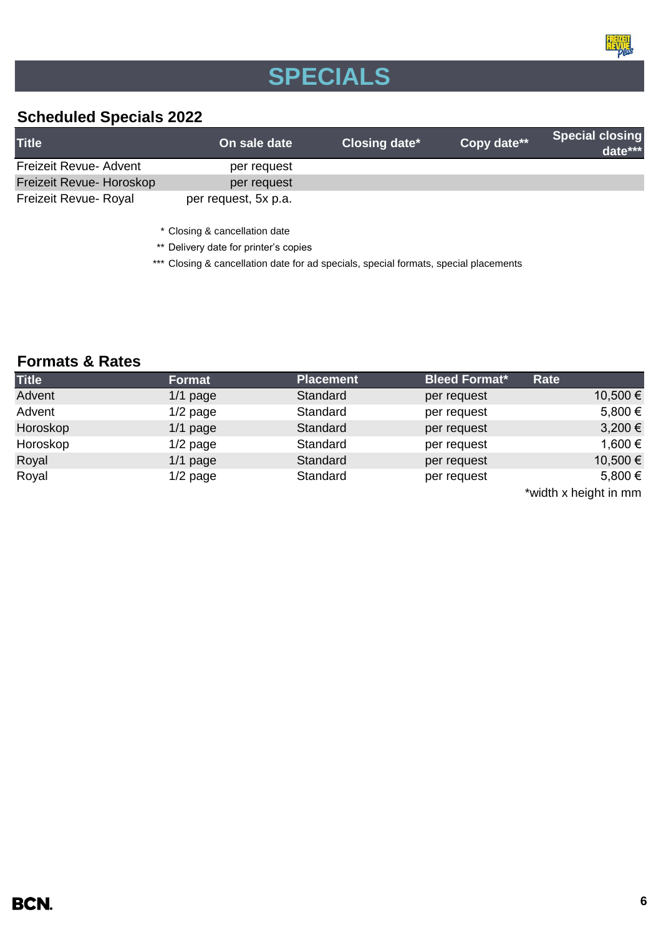

# **SPECIALS**

### **Scheduled Specials 2022**

| <b>Title</b>             | On sale date         | Closing date* | Copy date** | <b>Special closing</b><br>date*** |
|--------------------------|----------------------|---------------|-------------|-----------------------------------|
| Freizeit Revue- Advent   | per request          |               |             |                                   |
| Freizeit Revue- Horoskop | per request          |               |             |                                   |
| Freizeit Revue- Royal    | per request, 5x p.a. |               |             |                                   |

\* Closing & cancellation date

\*\* Delivery date for printer's copies

\*\*\* Closing & cancellation date for ad specials, special formats, special placements

### **Formats & Rates**

| <b>Title</b> | <b>Format</b> | <b>Placement</b> | <b>Bleed Format*</b> | Rate                     |
|--------------|---------------|------------------|----------------------|--------------------------|
| Advent       | $1/1$ page    | Standard         | per request          | 10,500 €                 |
| Advent       | $1/2$ page    | Standard         | per request          | 5,800 €                  |
| Horoskop     | $1/1$ page    | Standard         | per request          | $3,200 \in$              |
| Horoskop     | $1/2$ page    | Standard         | per request          | 1,600 €                  |
| Royal        | $1/1$ page    | Standard         | per request          | 10,500 €                 |
| Royal        | $1/2$ page    | Standard         | per request          | 5,800 €                  |
|              |               |                  |                      | $*$ width y hojaht in mm |

\*width x height in mm